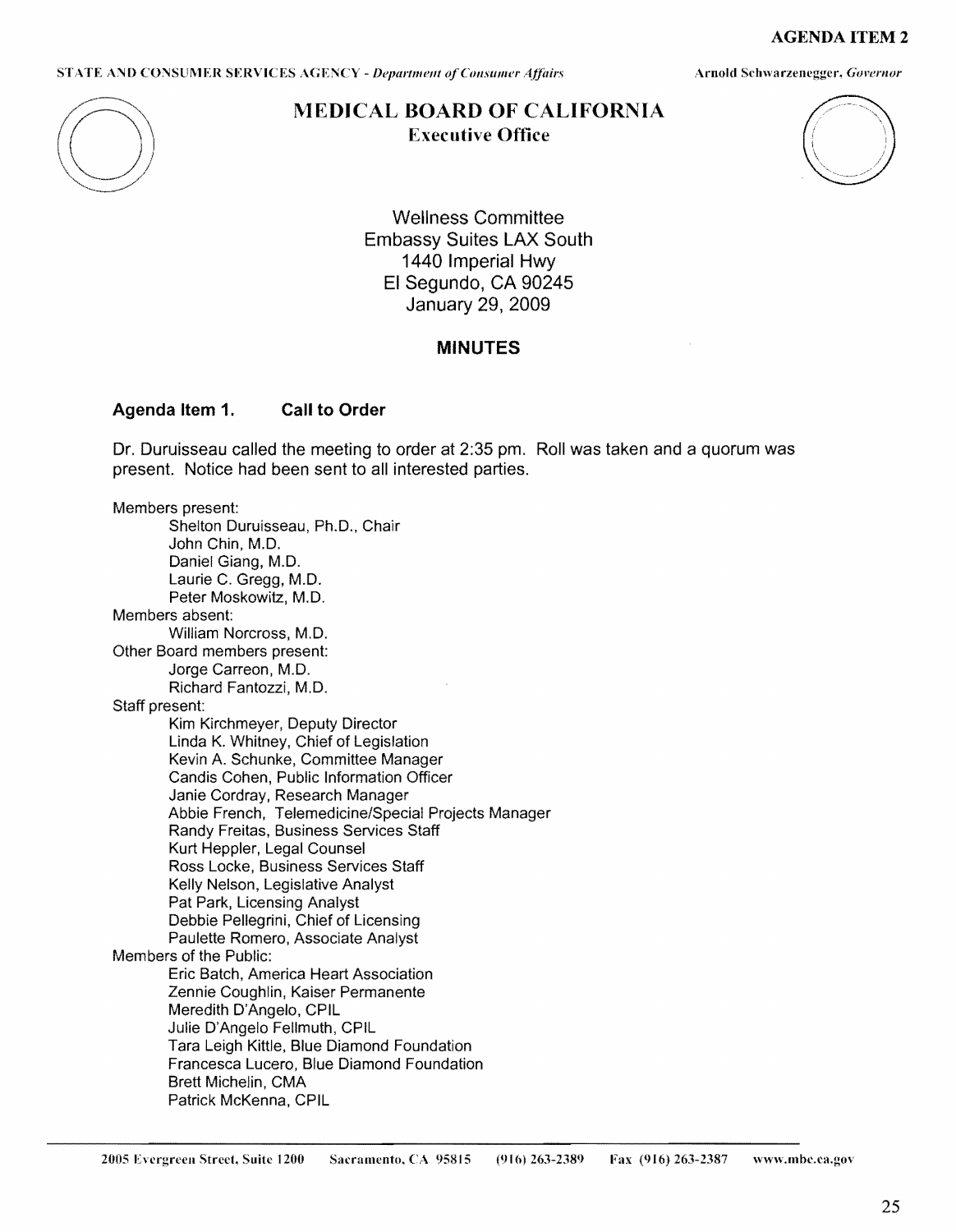**AGENDA ITEM** 2

STATE AND CONSUMER SERVICES AGENCY *- Department of Consumer Affairs* **Armord Schwarzenegger**, *Governor* 



# **MEDICAL BOARD OF CALIFORNIA Executive Office**



Wellness Committee Embassy Suites LAX South 1440 Imperial Hwy El Segundo, CA 90245 January 29, 2009

# **MINUTES**

#### **Agenda Item 1. Call to Order**

Dr. Duruisseau called the meeting to order at 2:35 pm. Roll was taken and a quorum was present. Notice had been sent to all interested parties.

Members present: Shelton Duruisseau, Ph.D., Chair **John Chin, M.D.**  Daniel Giang, M.D. Laurie C. Gregg, M.D. Peter Moskowitz, M.D. Members absent: William Norcross, M.D. Other Board members present: Jorge Carreon, M.D. Richard Fantozzi, M.D. Staff present: Kim Kirchmeyer, Deputy Director Linda K. Whitney, Chief of Legislation Kevin A. Schunke, Committee Manager Candis Cohen, Public Information Officer Janie Cordray, Research Manager Abbie French, Telemedicine/Special Projects Manager Randy Freitas, Business Services Staff Kurt Heppler, Legal Counsel Ross Locke, Business Services Staff Kelly Nelson, Legislative Analyst Pat Park, Licensing Analyst **Debbie Pellegrini, Chief of Licensing Paulette Romero, Associate Analyst Members of the Public: Eric Batch, America Heart Association Zennie Coughlin, Kaiser Permanente Meredith D'Angelo, CPIL**  Julie **D'Angelo Fellmuth, CPIL**  Tara Leigh Kittle, Blue Diamond Foundation **Francesca Lucero,** Blue **Diamond Foundation Brett Michelin, CMA Patrick McKenna, CPIL**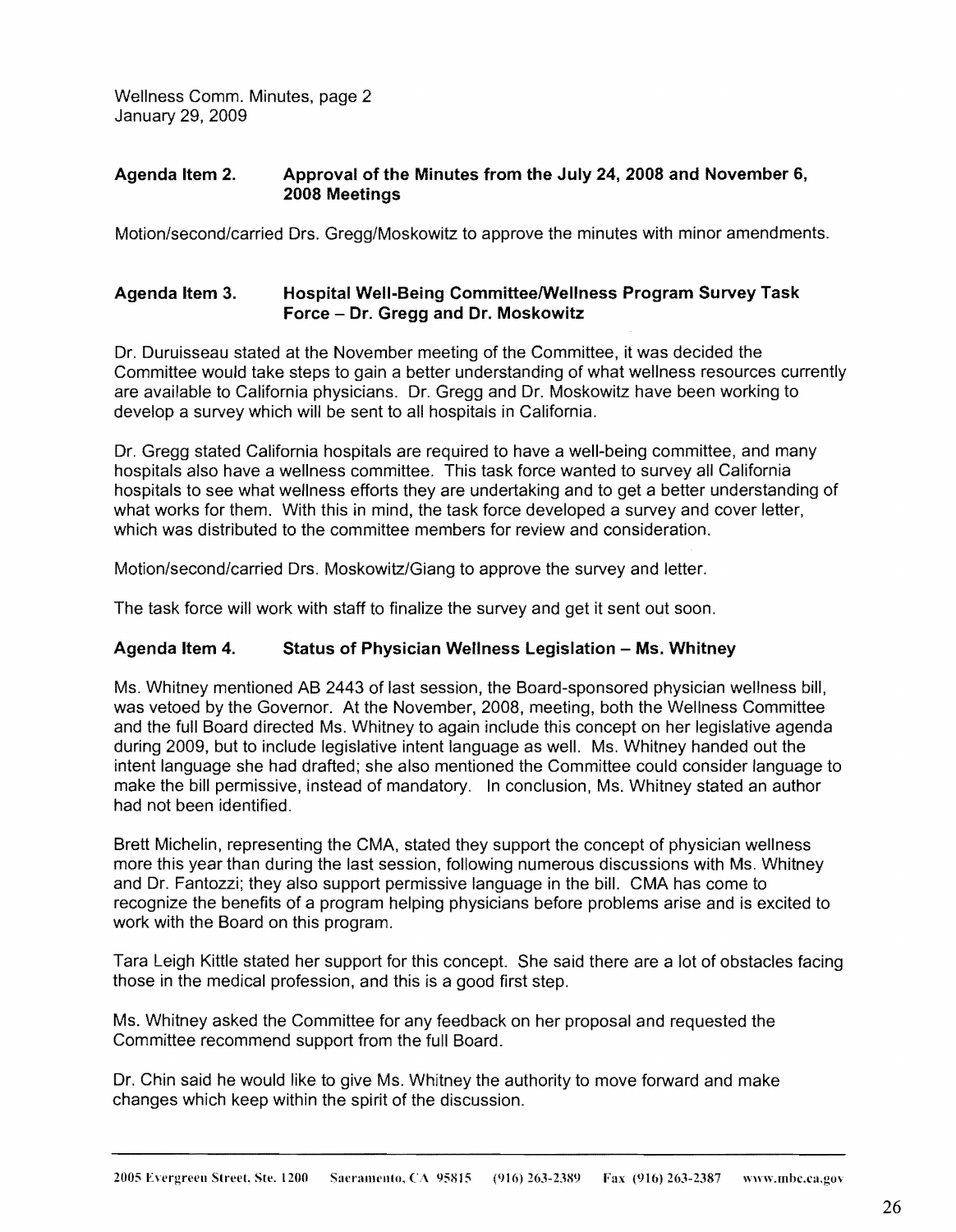Wellness Comm. Minutes, page 2 January 29, 2009

## **Agenda Item 2. Approval of the Minutes from the July 24, 2008 and November 6, 2008 Meetings**

Motion/second/carried Ors. Gregg/Moskowitz to approve the minutes with minor amendments.

## **Agenda Item 3. Hospital Well-Being Committee/Wellness Program Survey Task Force** - **Dr. Gregg and Dr. Moskowitz**

Dr. Duruisseau stated at the November meeting of the Committee, it was decided the Committee would take steps to gain a better understanding of what wellness resources currently are available to California physicians. Dr. Gregg and Dr. Moskowitz have been working to develop a survey which will be sent to all hospitals in California.

Dr. Gregg stated California hospitals are required to have a well-being committee, and many hospitals also have a wellness committee. This task force wanted to survey all California hospitals to see what wellness efforts they are undertaking and to get a better understanding of what works for them. With this in mind, the task force developed a survey and cover letter, which was distributed to the committee members for review and consideration.

Motion/second/carried Ors. Moskowitz/Giang to approve the survey and letter.

The task force will work with staff to finalize the survey and get it sent out soon.

## Agenda Item 4. Status of Physician Wellness Legislation - Ms. Whitney

Ms. Whitney mentioned AB 2443 of last session, the Board-sponsored physician wellness bill, was vetoed by the Governor. At the November, 2008, meeting, both the Wellness Committee and the full Board directed Ms. Whitney to again include this concept on her legislative agenda during 2009, but to include legislative intent language as well. Ms. Whitney handed out the intent language she had drafted; she also mentioned the Committee could consider language to make the bill permissive, instead of mandatory. In conclusion, Ms. Whitney stated an author had not been identified.

Brett Michelin, representing the CMA, stated they support the concept of physician wellness more this year than during the last session, following numerous discussions with Ms. Whitney and Dr. Fantozzi; they also support permissive language in the bill. CMA has come to recognize the benefits of a program helping physicians before problems arise and is excited to work with the Board on this program.

Tara Leigh Kittle stated her support for this concept. She said there are a lot of obstacles facing those in the medical profession, and this is a good first step.

Ms. Whitney asked the Committee for any feedback on her proposal and requested the Committee recommend support from the full Board.

Dr. Chin said he would like to give Ms. Whitney the authority to move forward and make changes which keep within the spirit of the discussion.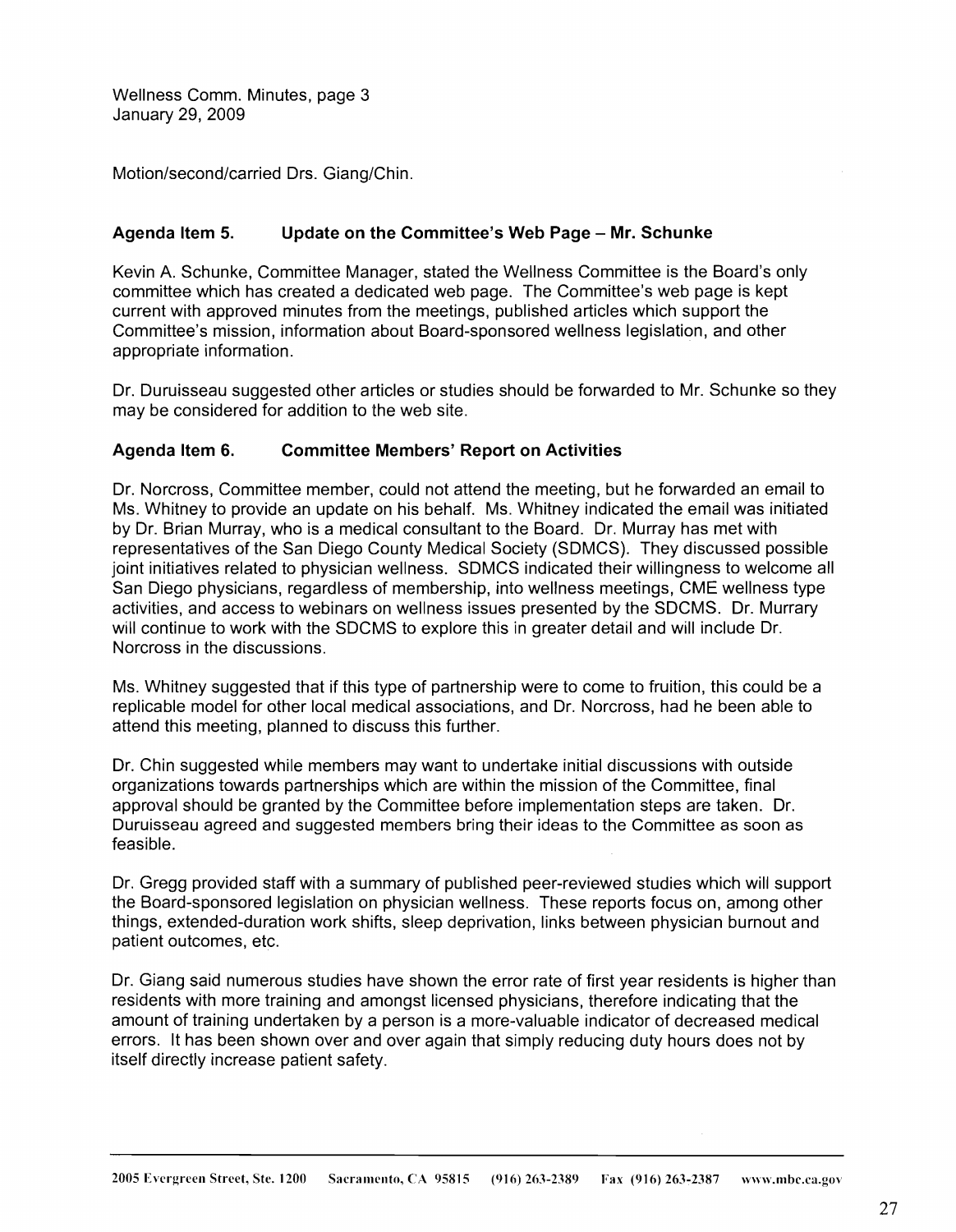Wellness Comm. Minutes, page 3 January 29, 2009

Motion/second/carried Ors. Giang/Chin.

### **Agenda Item 5. Update on the Committee's Web Page - Mr. Schunke**

Kevin A. Schunke, Committee Manager, stated the Wellness Committee is the Board's only committee which has created a dedicated web page. The Committee's web page is kept current with approved minutes from the meetings, published articles which support the Committee's mission, information about Board-sponsored wellness legislation, and other appropriate information.

Dr. Duruisseau suggested other articles or studies should be forwarded to Mr. Schunke so they may be considered for addition to the web site.

#### **Agenda Item 6. Committee Members' Report on Activities**

Dr. Norcross, Committee member, could not attend the meeting, but he forwarded an email to Ms. Whitney to provide an update on his behalf. Ms. Whitney indicated the email was initiated by Dr. Brian Murray, who is a medical consultant to the Board. Dr. Murray has met with representatives of the San Diego County Medical Society (SDMCS). They discussed possible joint initiatives related to physician wellness. SDMCS indicated their willingness to welcome all San Diego physicians, regardless of membership, into wellness meetings, CME wellness type activities, and access to webinars on wellness issues presented by the SDCMS. Dr. Murrary will continue to work with the SDCMS to explore this in greater detail and will include Dr. Norcross in the discussions.

Ms. Whitney suggested that if this type of partnership were to come to fruition, this could be a replicable model for other local medical associations, and Dr. Norcross, had he been able to attend this meeting, planned to discuss this further.

Dr. Chin suggested while members may want to undertake initial discussions with outside organizations towards partnerships which are within the mission of the Committee, final approval should be granted by the Committee before implementation steps are taken. Dr. Duruisseau agreed and suggested members bring their ideas to the Committee as soon as feasible.

Dr. Gregg provided staff with a summary of published peer-reviewed studies which will support the Board-sponsored legislation on physician wellness. These reports focus on, among other things, extended-duration work shifts, sleep deprivation, links between physician burnout and patient outcomes, etc.

Dr. Giang said numerous studies have shown the error rate of first year residents is higher than residents with more training and amongst licensed physicians, therefore indicating that the amount of training undertaken by a person is a more-valuable indicator of decreased medical errors. It has been shown over and over again that simply reducing duty hours does not by itself directly increase patient safety.